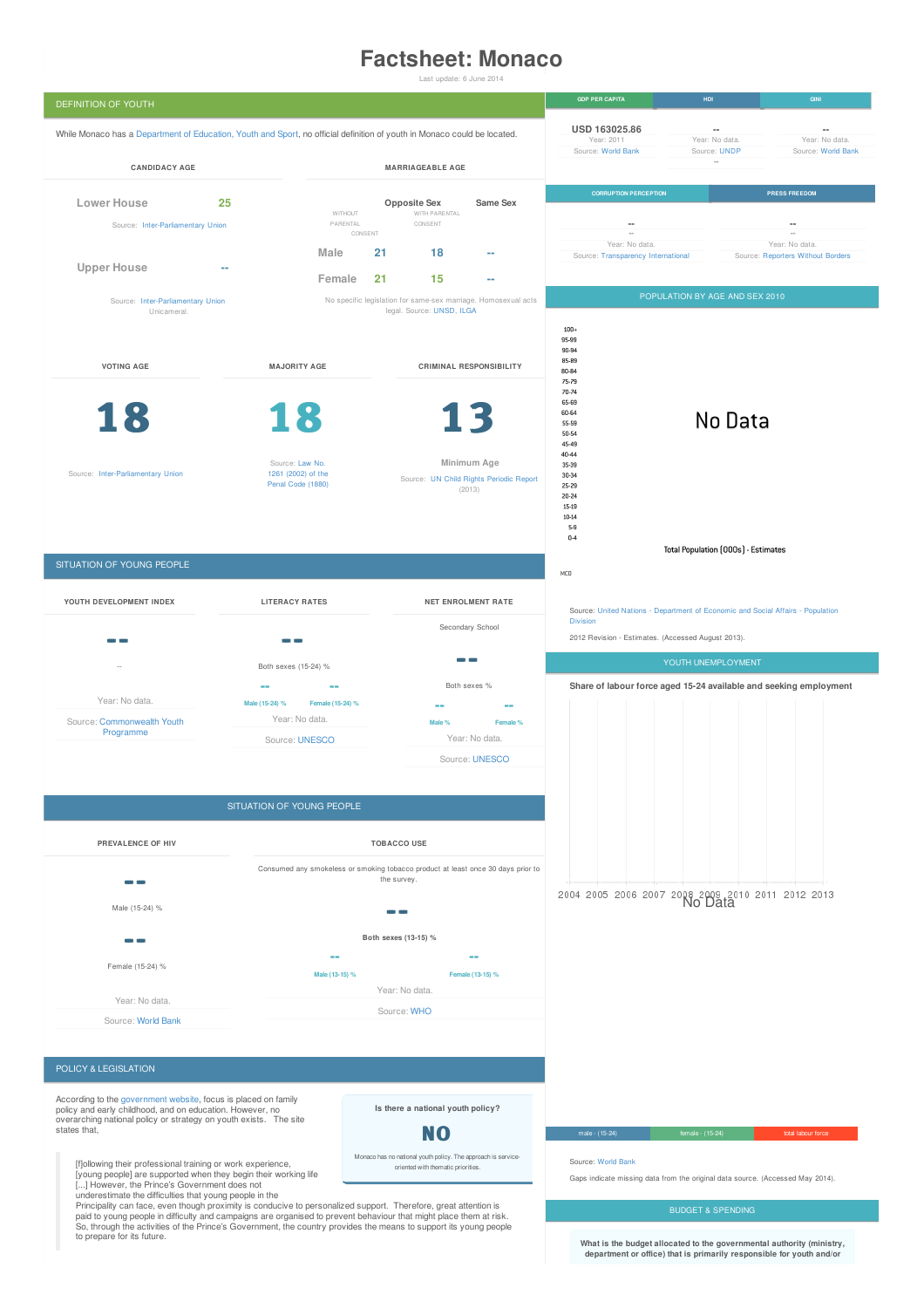# **Factsheet: Monaco**

Last update: 6 June 2014



Principality can face, even though proximity is conducive to personalized support. Therefore, great attention is<br>paid to young people in difficulty and campaigns are organised to prevent behaviour that might place them at to prepare for its future.

**What is the budget allocated to the governmental authority (ministry, department or office) that is primarily responsible for youth and/or**